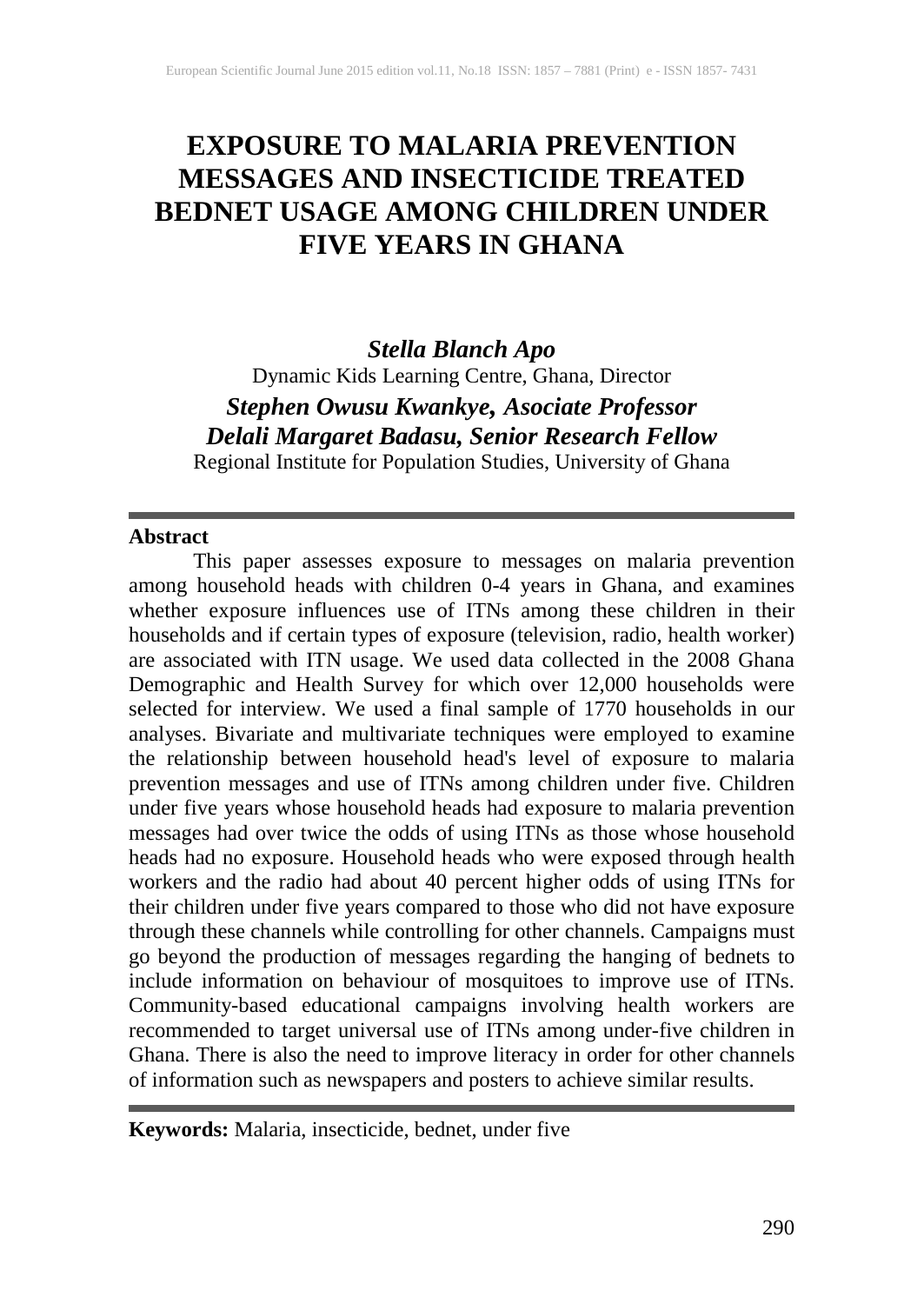# **EXPOSURE TO MALARIA PREVENTION MESSAGES AND INSECTICIDE TREATED BEDNET USAGE AMONG CHILDREN UNDER FIVE YEARS IN GHANA**

# *Stella Blanch Apo*

# Dynamic Kids Learning Centre, Ghana, Director *Stephen Owusu Kwankye, Asociate Professor Delali Margaret Badasu, Senior Research Fellow*

Regional Institute for Population Studies, University of Ghana

# **Abstract**

This paper assesses exposure to messages on malaria prevention among household heads with children 0-4 years in Ghana, and examines whether exposure influences use of ITNs among these children in their households and if certain types of exposure (television, radio, health worker) are associated with ITN usage. We used data collected in the 2008 Ghana Demographic and Health Survey for which over 12,000 households were selected for interview. We used a final sample of 1770 households in our analyses. Bivariate and multivariate techniques were employed to examine the relationship between household head's level of exposure to malaria prevention messages and use of ITNs among children under five. Children under five years whose household heads had exposure to malaria prevention messages had over twice the odds of using ITNs as those whose household heads had no exposure. Household heads who were exposed through health workers and the radio had about 40 percent higher odds of using ITNs for their children under five years compared to those who did not have exposure through these channels while controlling for other channels. Campaigns must go beyond the production of messages regarding the hanging of bednets to include information on behaviour of mosquitoes to improve use of ITNs. Community-based educational campaigns involving health workers are recommended to target universal use of ITNs among under-five children in Ghana. There is also the need to improve literacy in order for other channels of information such as newspapers and posters to achieve similar results.

**Keywords:** Malaria, insecticide, bednet, under five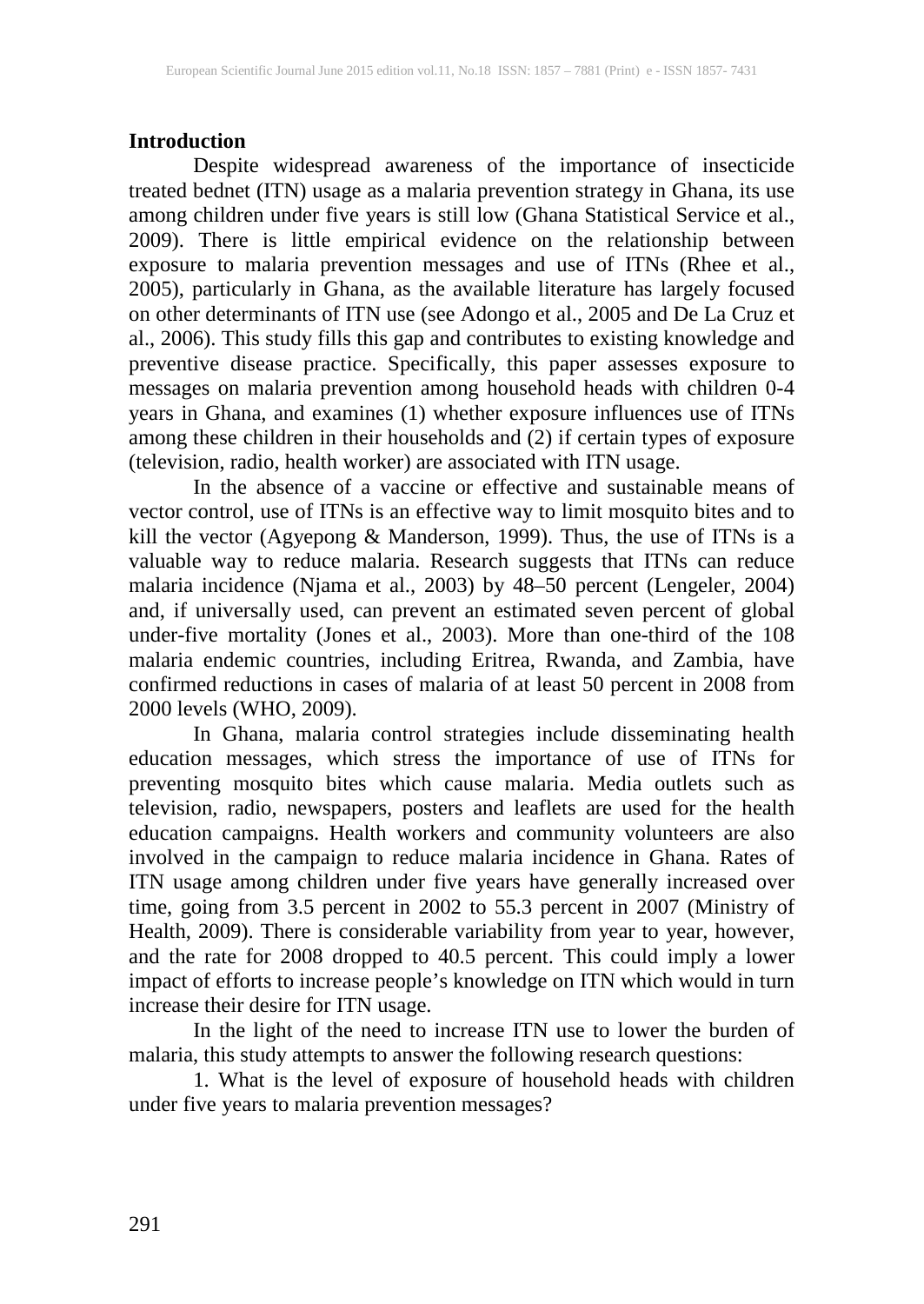# **Introduction**

Despite widespread awareness of the importance of insecticide treated bednet (ITN) usage as a malaria prevention strategy in Ghana, its use among children under five years is still low (Ghana Statistical Service et al., 2009). There is little empirical evidence on the relationship between exposure to malaria prevention messages and use of ITNs (Rhee et al., 2005), particularly in Ghana, as the available literature has largely focused on other determinants of ITN use (see Adongo et al., 2005 and De La Cruz et al., 2006). This study fills this gap and contributes to existing knowledge and preventive disease practice. Specifically, this paper assesses exposure to messages on malaria prevention among household heads with children 0-4 years in Ghana, and examines (1) whether exposure influences use of ITNs among these children in their households and (2) if certain types of exposure (television, radio, health worker) are associated with ITN usage.

In the absence of a vaccine or effective and sustainable means of vector control, use of ITNs is an effective way to limit mosquito bites and to kill the vector (Agyepong & Manderson, 1999). Thus, the use of ITNs is a valuable way to reduce malaria. Research suggests that ITNs can reduce malaria incidence (Njama et al., 2003) by 48–50 percent (Lengeler, 2004) and, if universally used, can prevent an estimated seven percent of global under-five mortality (Jones et al., 2003). More than one-third of the 108 malaria endemic countries, including Eritrea, Rwanda, and Zambia, have confirmed reductions in cases of malaria of at least 50 percent in 2008 from 2000 levels (WHO, 2009).

In Ghana, malaria control strategies include disseminating health education messages, which stress the importance of use of ITNs for preventing mosquito bites which cause malaria. Media outlets such as television, radio, newspapers, posters and leaflets are used for the health education campaigns. Health workers and community volunteers are also involved in the campaign to reduce malaria incidence in Ghana. Rates of ITN usage among children under five years have generally increased over time, going from 3.5 percent in 2002 to 55.3 percent in 2007 (Ministry of Health, 2009). There is considerable variability from year to year, however, and the rate for 2008 dropped to 40.5 percent. This could imply a lower impact of efforts to increase people's knowledge on ITN which would in turn increase their desire for ITN usage.

In the light of the need to increase ITN use to lower the burden of malaria, this study attempts to answer the following research questions:

1. What is the level of exposure of household heads with children under five years to malaria prevention messages?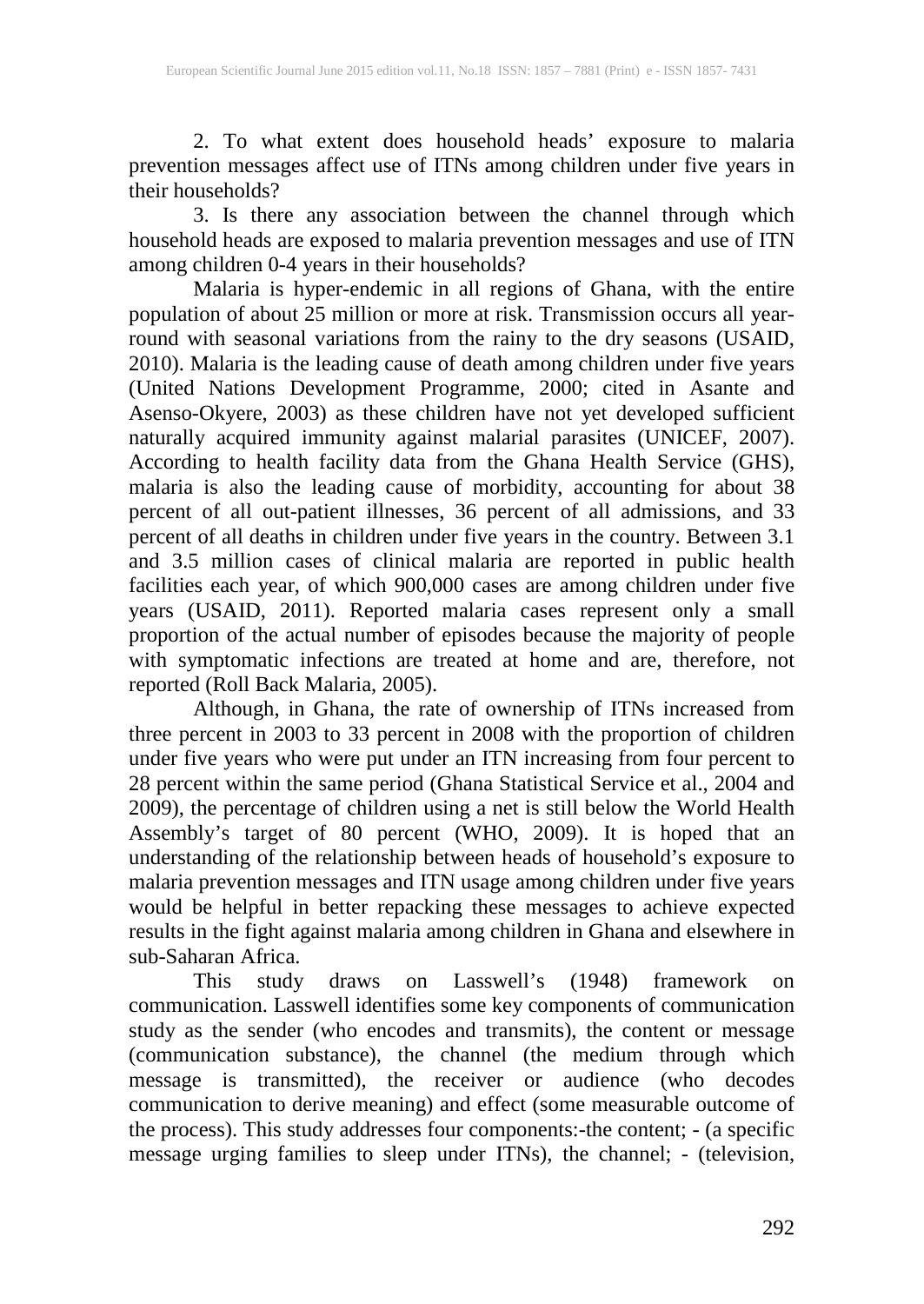2. To what extent does household heads' exposure to malaria prevention messages affect use of ITNs among children under five years in their households?

3. Is there any association between the channel through which household heads are exposed to malaria prevention messages and use of ITN among children 0-4 years in their households?

Malaria is hyper-endemic in all regions of Ghana, with the entire population of about 25 million or more at risk. Transmission occurs all yearround with seasonal variations from the rainy to the dry seasons (USAID, 2010). Malaria is the leading cause of death among children under five years (United Nations Development Programme, 2000; cited in Asante and Asenso-Okyere, 2003) as these children have not yet developed sufficient naturally acquired immunity against malarial parasites (UNICEF, 2007). According to health facility data from the Ghana Health Service (GHS), malaria is also the leading cause of morbidity, accounting for about 38 percent of all out-patient illnesses, 36 percent of all admissions, and 33 percent of all deaths in children under five years in the country. Between 3.1 and 3.5 million cases of clinical malaria are reported in public health facilities each year, of which 900,000 cases are among children under five years (USAID, 2011). Reported malaria cases represent only a small proportion of the actual number of episodes because the majority of people with symptomatic infections are treated at home and are, therefore, not reported (Roll Back Malaria, 2005).

Although, in Ghana, the rate of ownership of ITNs increased from three percent in 2003 to 33 percent in 2008 with the proportion of children under five years who were put under an ITN increasing from four percent to 28 percent within the same period (Ghana Statistical Service et al., 2004 and 2009), the percentage of children using a net is still below the World Health Assembly's target of 80 percent (WHO, 2009). It is hoped that an understanding of the relationship between heads of household's exposure to malaria prevention messages and ITN usage among children under five years would be helpful in better repacking these messages to achieve expected results in the fight against malaria among children in Ghana and elsewhere in sub-Saharan Africa.

This study draws on Lasswell's (1948) framework on communication. Lasswell identifies some key components of communication study as the sender (who encodes and transmits), the content or message (communication substance), the channel (the medium through which message is transmitted), the receiver or audience (who decodes communication to derive meaning) and effect (some measurable outcome of the process). This study addresses four components:-the content; - (a specific message urging families to sleep under ITNs), the channel; - (television,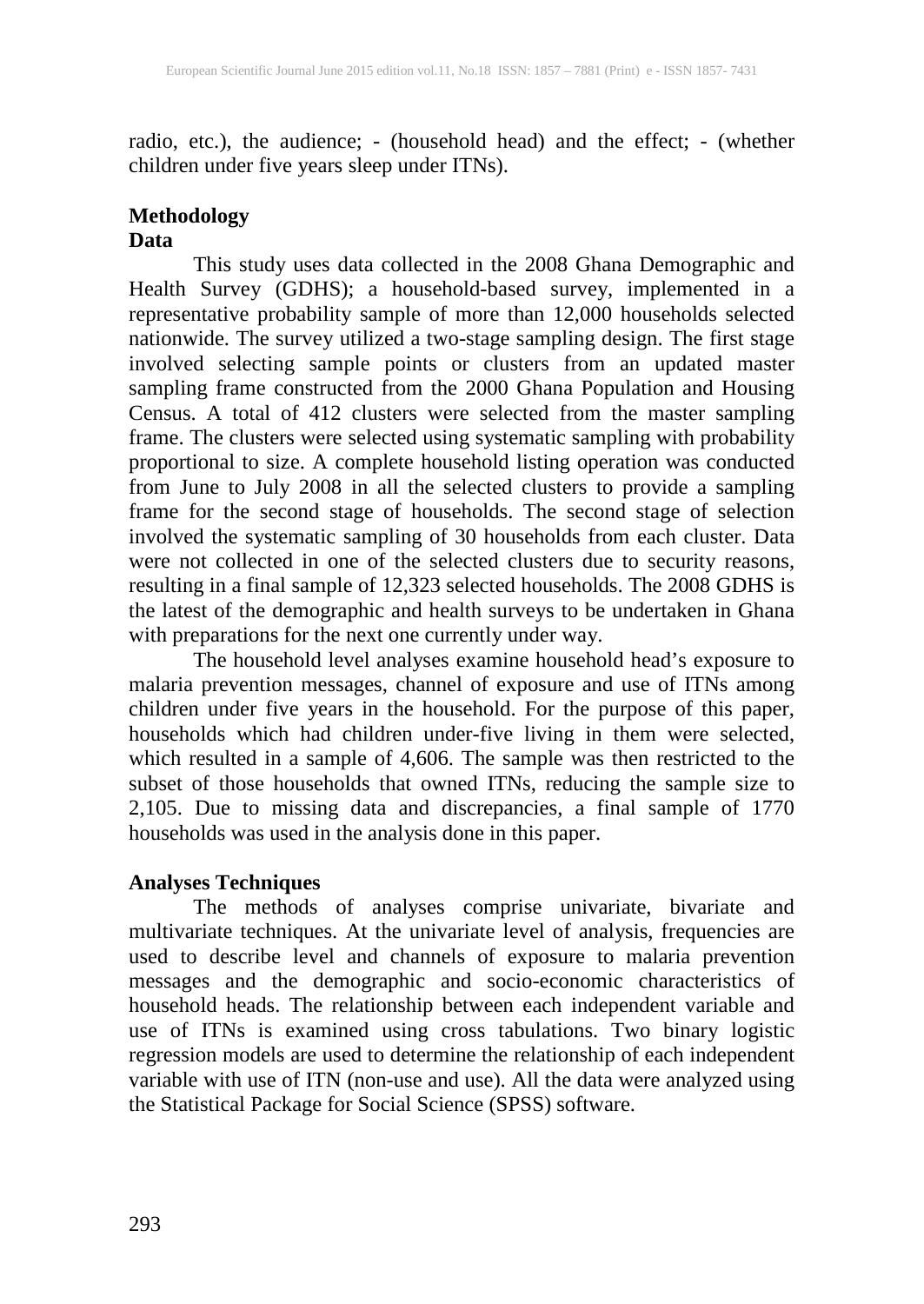radio, etc.), the audience; - (household head) and the effect; - (whether children under five years sleep under ITNs).

# **Methodology**

# **Data**

This study uses data collected in the 2008 Ghana Demographic and Health Survey (GDHS); a household-based survey, implemented in a representative probability sample of more than 12,000 households selected nationwide. The survey utilized a two-stage sampling design. The first stage involved selecting sample points or clusters from an updated master sampling frame constructed from the 2000 Ghana Population and Housing Census. A total of 412 clusters were selected from the master sampling frame. The clusters were selected using systematic sampling with probability proportional to size. A complete household listing operation was conducted from June to July 2008 in all the selected clusters to provide a sampling frame for the second stage of households. The second stage of selection involved the systematic sampling of 30 households from each cluster. Data were not collected in one of the selected clusters due to security reasons, resulting in a final sample of 12,323 selected households. The 2008 GDHS is the latest of the demographic and health surveys to be undertaken in Ghana with preparations for the next one currently under way.

The household level analyses examine household head's exposure to malaria prevention messages, channel of exposure and use of ITNs among children under five years in the household. For the purpose of this paper, households which had children under-five living in them were selected, which resulted in a sample of 4,606. The sample was then restricted to the subset of those households that owned ITNs, reducing the sample size to 2,105. Due to missing data and discrepancies, a final sample of 1770 households was used in the analysis done in this paper.

# **Analyses Techniques**

The methods of analyses comprise univariate, bivariate and multivariate techniques. At the univariate level of analysis, frequencies are used to describe level and channels of exposure to malaria prevention messages and the demographic and socio-economic characteristics of household heads. The relationship between each independent variable and use of ITNs is examined using cross tabulations. Two binary logistic regression models are used to determine the relationship of each independent variable with use of ITN (non-use and use). All the data were analyzed using the Statistical Package for Social Science (SPSS) software.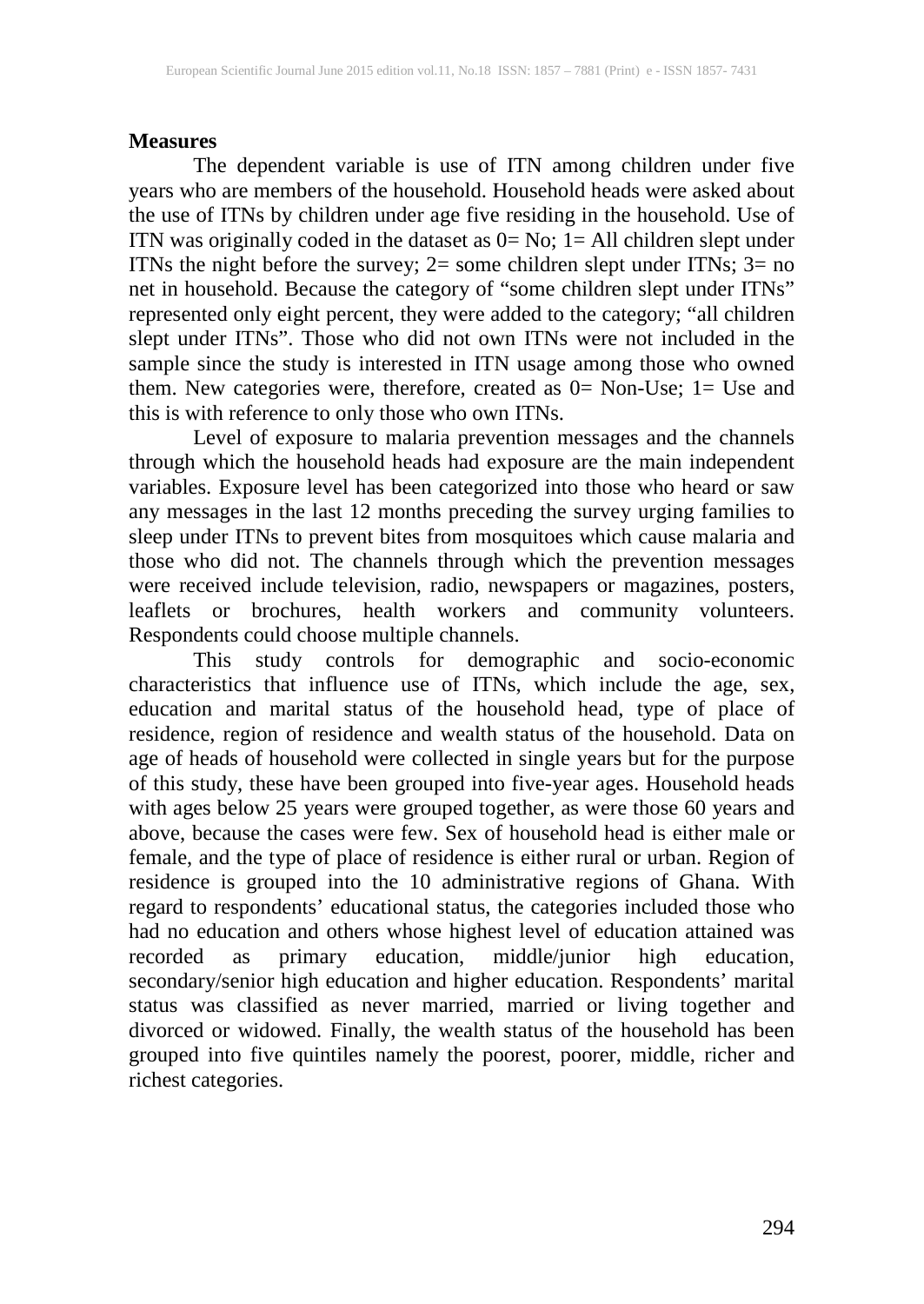# **Measures**

The dependent variable is use of ITN among children under five years who are members of the household. Household heads were asked about the use of ITNs by children under age five residing in the household. Use of ITN was originally coded in the dataset as  $0=$  No;  $1=$  All children slept under ITNs the night before the survey; 2= some children slept under ITNs; 3= no net in household. Because the category of "some children slept under ITNs" represented only eight percent, they were added to the category; "all children slept under ITNs". Those who did not own ITNs were not included in the sample since the study is interested in ITN usage among those who owned them. New categories were, therefore, created as 0= Non-Use; 1= Use and this is with reference to only those who own ITNs.

Level of exposure to malaria prevention messages and the channels through which the household heads had exposure are the main independent variables. Exposure level has been categorized into those who heard or saw any messages in the last 12 months preceding the survey urging families to sleep under ITNs to prevent bites from mosquitoes which cause malaria and those who did not. The channels through which the prevention messages were received include television, radio, newspapers or magazines, posters, leaflets or brochures, health workers and community volunteers. Respondents could choose multiple channels.

This study controls for demographic and socio-economic characteristics that influence use of ITNs, which include the age, sex, education and marital status of the household head, type of place of residence, region of residence and wealth status of the household. Data on age of heads of household were collected in single years but for the purpose of this study, these have been grouped into five-year ages. Household heads with ages below 25 years were grouped together, as were those 60 years and above, because the cases were few. Sex of household head is either male or female, and the type of place of residence is either rural or urban. Region of residence is grouped into the 10 administrative regions of Ghana. With regard to respondents' educational status, the categories included those who had no education and others whose highest level of education attained was recorded as primary education, middle/junior high education, secondary/senior high education and higher education. Respondents' marital status was classified as never married, married or living together and divorced or widowed. Finally, the wealth status of the household has been grouped into five quintiles namely the poorest, poorer, middle, richer and richest categories.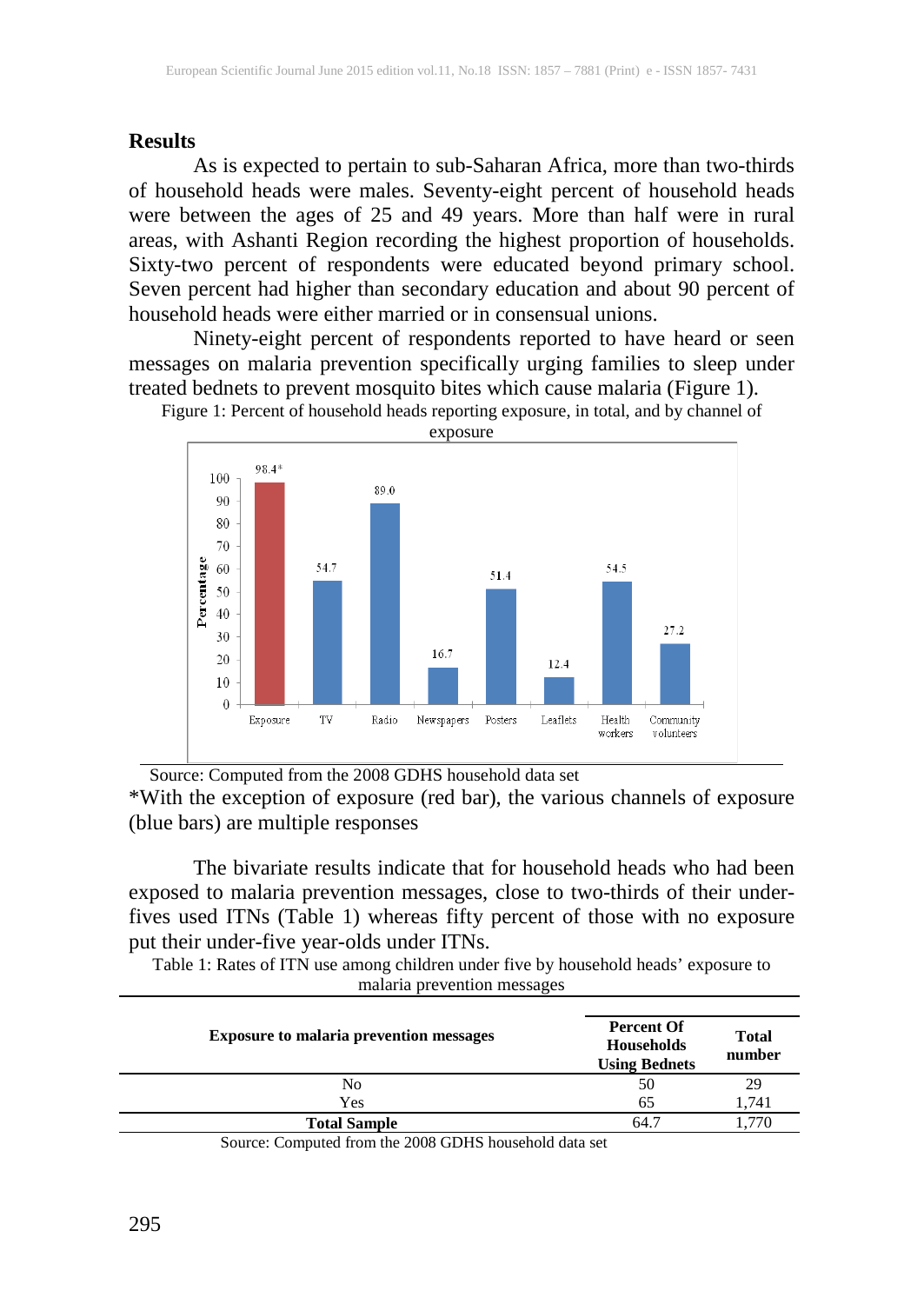#### **Results**

As is expected to pertain to sub-Saharan Africa, more than two-thirds of household heads were males. Seventy-eight percent of household heads were between the ages of 25 and 49 years. More than half were in rural areas, with Ashanti Region recording the highest proportion of households. Sixty-two percent of respondents were educated beyond primary school. Seven percent had higher than secondary education and about 90 percent of household heads were either married or in consensual unions.

Ninety-eight percent of respondents reported to have heard or seen messages on malaria prevention specifically urging families to sleep under treated bednets to prevent mosquito bites which cause malaria (Figure 1).



Figure 1: Percent of household heads reporting exposure, in total, and by channel of

Source: Computed from the 2008 GDHS household data set

\*With the exception of exposure (red bar), the various channels of exposure (blue bars) are multiple responses

The bivariate results indicate that for household heads who had been exposed to malaria prevention messages, close to two-thirds of their underfives used ITNs (Table 1) whereas fifty percent of those with no exposure put their under-five year-olds under ITNs.

Table 1: Rates of ITN use among children under five by household heads' exposure to malaria prevention messages

| <b>Exposure to malaria prevention messages</b> | <b>Percent Of</b><br><b>Households</b><br><b>Using Bednets</b> | Total<br>number |
|------------------------------------------------|----------------------------------------------------------------|-----------------|
| No                                             | 50                                                             | 29              |
| Yes                                            | 65                                                             | 1.741           |
| <b>Total Sample</b>                            | 64.7                                                           |                 |

Source: Computed from the 2008 GDHS household data set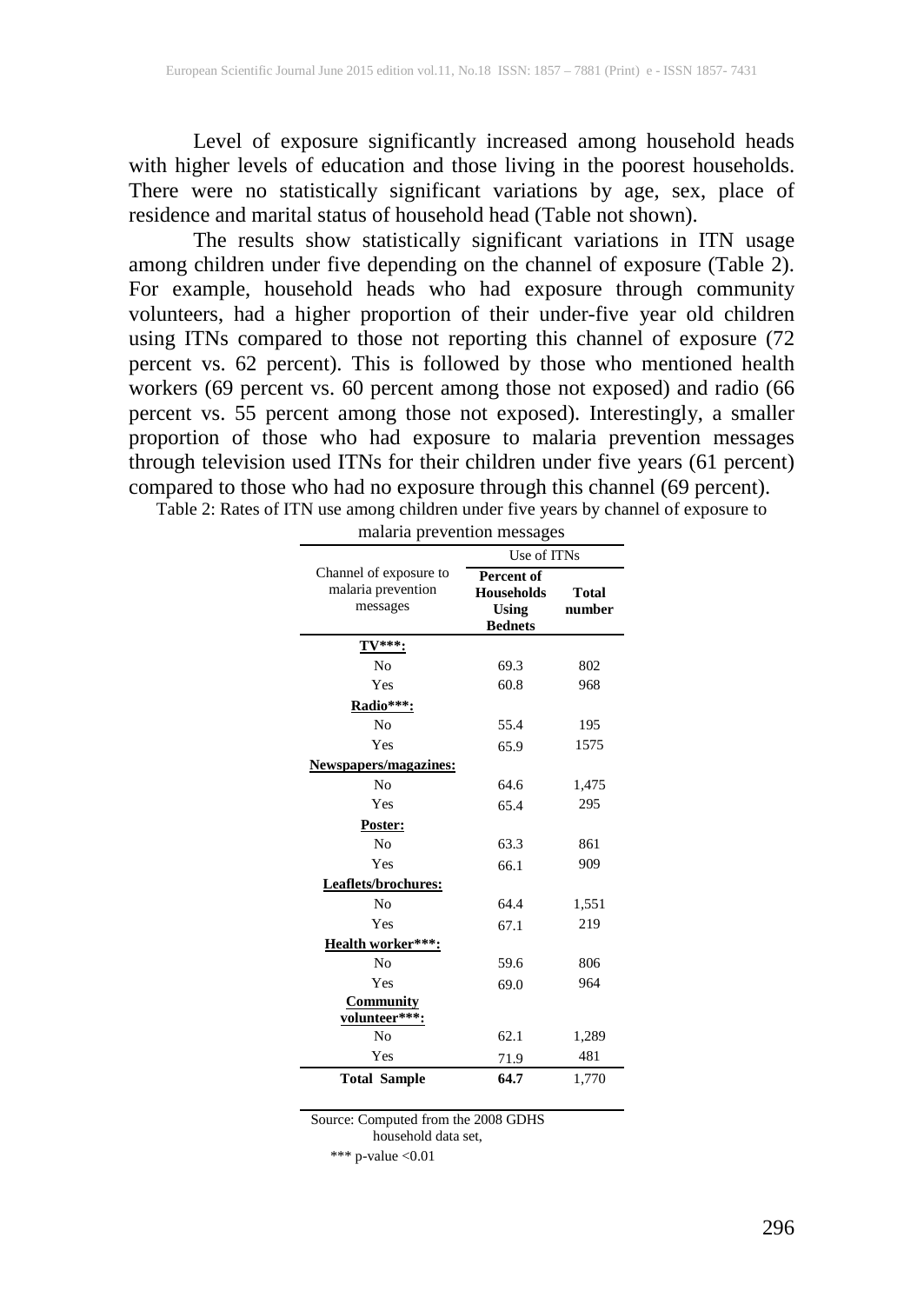Level of exposure significantly increased among household heads with higher levels of education and those living in the poorest households. There were no statistically significant variations by age, sex, place of residence and marital status of household head (Table not shown).

The results show statistically significant variations in ITN usage among children under five depending on the channel of exposure (Table 2). For example, household heads who had exposure through community volunteers, had a higher proportion of their under-five year old children using ITNs compared to those not reporting this channel of exposure (72 percent vs. 62 percent). This is followed by those who mentioned health workers (69 percent vs. 60 percent among those not exposed) and radio (66 percent vs. 55 percent among those not exposed). Interestingly, a smaller proportion of those who had exposure to malaria prevention messages through television used ITNs for their children under five years (61 percent) compared to those who had no exposure through this channel (69 percent).

Table 2: Rates of ITN use among children under five years by channel of exposure to

|                                                          | Use of ITNs                                                              |                        |  |
|----------------------------------------------------------|--------------------------------------------------------------------------|------------------------|--|
| Channel of exposure to<br>malaria prevention<br>messages | <b>Percent of</b><br><b>Households</b><br><b>Using</b><br><b>Bednets</b> | <b>Total</b><br>number |  |
| $TV***$                                                  |                                                                          |                        |  |
| No                                                       | 69.3                                                                     | 802                    |  |
| Yes                                                      | 60.8                                                                     | 968                    |  |
| Radio***:                                                |                                                                          |                        |  |
| N <sub>0</sub>                                           | 55.4                                                                     | 195                    |  |
| Yes                                                      | 65.9                                                                     | 1575                   |  |
| Newspapers/magazines:                                    |                                                                          |                        |  |
| No                                                       | 64.6                                                                     | 1,475                  |  |
| Yes                                                      | 65.4                                                                     | 295                    |  |
| Poster:                                                  |                                                                          |                        |  |
| N <sub>0</sub>                                           | 63.3                                                                     | 861                    |  |
| Yes                                                      | 66.1                                                                     | 909                    |  |
| Leaflets/brochures:                                      |                                                                          |                        |  |
| N <sub>0</sub>                                           | 64.4                                                                     | 1,551                  |  |
| Yes                                                      | 67.1                                                                     | 219                    |  |
| Health worker***:                                        |                                                                          |                        |  |
| N <sub>0</sub>                                           | 59.6                                                                     | 806                    |  |
| Yes                                                      | 69.0                                                                     | 964                    |  |
| <b>Community</b>                                         |                                                                          |                        |  |
| volunteer***:                                            |                                                                          |                        |  |
| N <sub>0</sub>                                           | 62.1                                                                     | 1,289                  |  |
| Yes                                                      | 71.9                                                                     | 481                    |  |
| <b>Total Sample</b>                                      | 64.7                                                                     | 1,770                  |  |

malaria prevention messages

Source: Computed from the 2008 GDHS

household data set,

\*\*\* p-value  $< 0.01$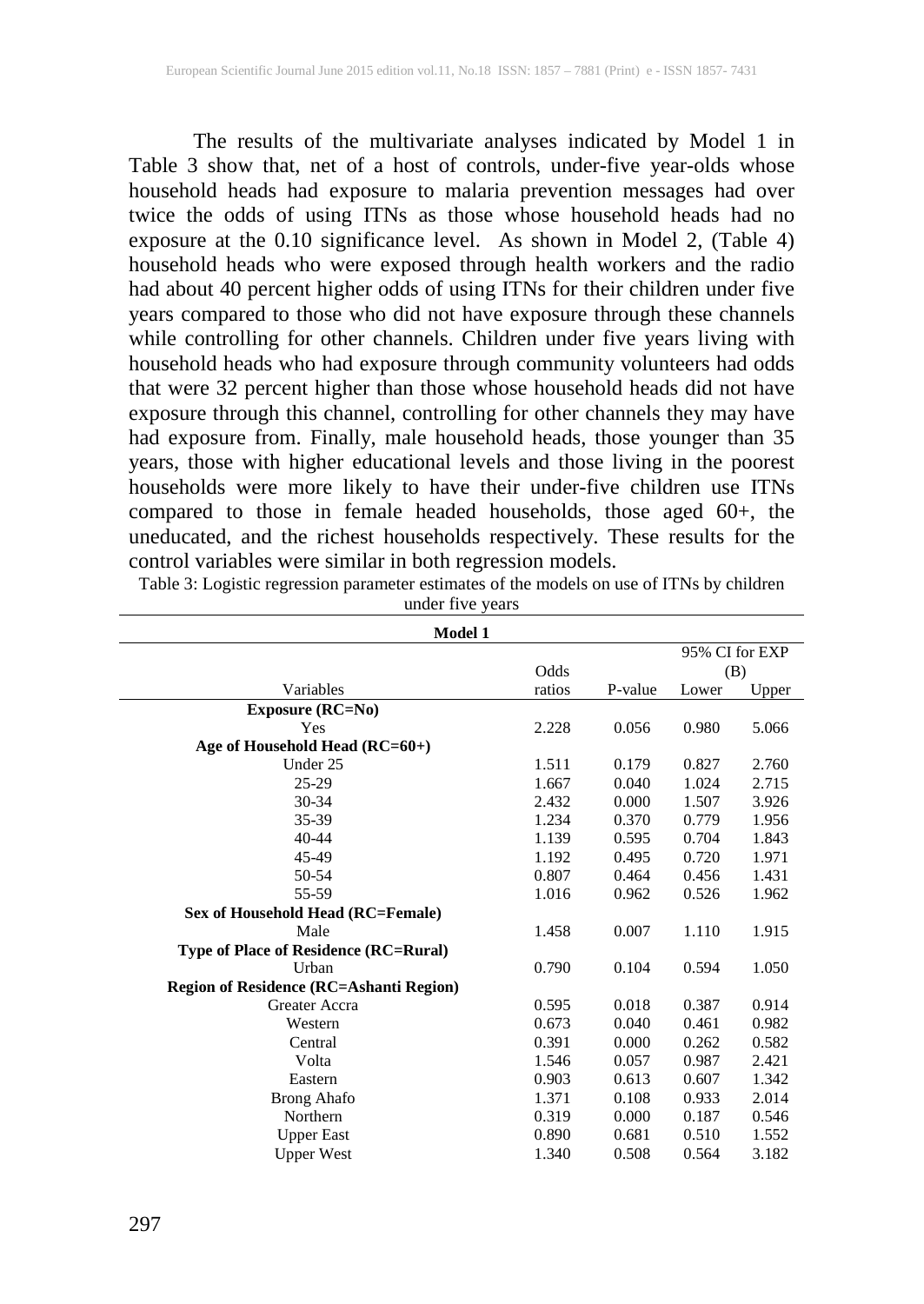The results of the multivariate analyses indicated by Model 1 in Table 3 show that, net of a host of controls, under-five year-olds whose household heads had exposure to malaria prevention messages had over twice the odds of using ITNs as those whose household heads had no exposure at the 0.10 significance level. As shown in Model 2, (Table 4) household heads who were exposed through health workers and the radio had about 40 percent higher odds of using ITNs for their children under five years compared to those who did not have exposure through these channels while controlling for other channels. Children under five years living with household heads who had exposure through community volunteers had odds that were 32 percent higher than those whose household heads did not have exposure through this channel, controlling for other channels they may have had exposure from. Finally, male household heads, those younger than 35 years, those with higher educational levels and those living in the poorest households were more likely to have their under-five children use ITNs compared to those in female headed households, those aged 60+, the uneducated, and the richest households respectively. These results for the control variables were similar in both regression models.

**Model 1** Variables Odds ratios P-value 95% CI for EXP (B) Lower Upper **Exposure (RC=No)** Yes 2.228 0.056 0.980 5.066 **Age of Household Head (RC=60+)** Under 25 1.511 0.179 0.827 2.760 25-29 1.667 0.040 1.024 2.715 30-34 2.432 0.000 1.507 3.926 35-39 1.234 0.370 0.779 1.956 40-44 1.139 0.595 0.704 1.843 45-49 1.192 0.495 0.720 1.971 50-54 0.807 0.464 0.456 1.431 55-59 1.016 0.962 0.526 1.962 **Sex of Household Head (RC=Female)** Male 1.458 0.007 1.110 1.915 **Type of Place of Residence (RC=Rural)** Urban 0.790 0.104 0.594 1.050 **Region of Residence (RC=Ashanti Region)** Greater Accra **0.595** 0.018 0.387 0.914 Western 0.673 0.040 0.461 0.982 Central 0.391 0.000 0.262 0.582 Volta 1.546 0.057 0.987 2.421 Eastern 0.903 0.613 0.607 1.342 Brong Ahafo 1.371 0.108 0.933 2.014 Northern 0.319 0.000 0.187 0.546 Upper East 0.890 0.681 0.510 1.552 Upper West 1.340 0.508 0.564 3.182

Table 3: Logistic regression parameter estimates of the models on use of ITNs by children

under five years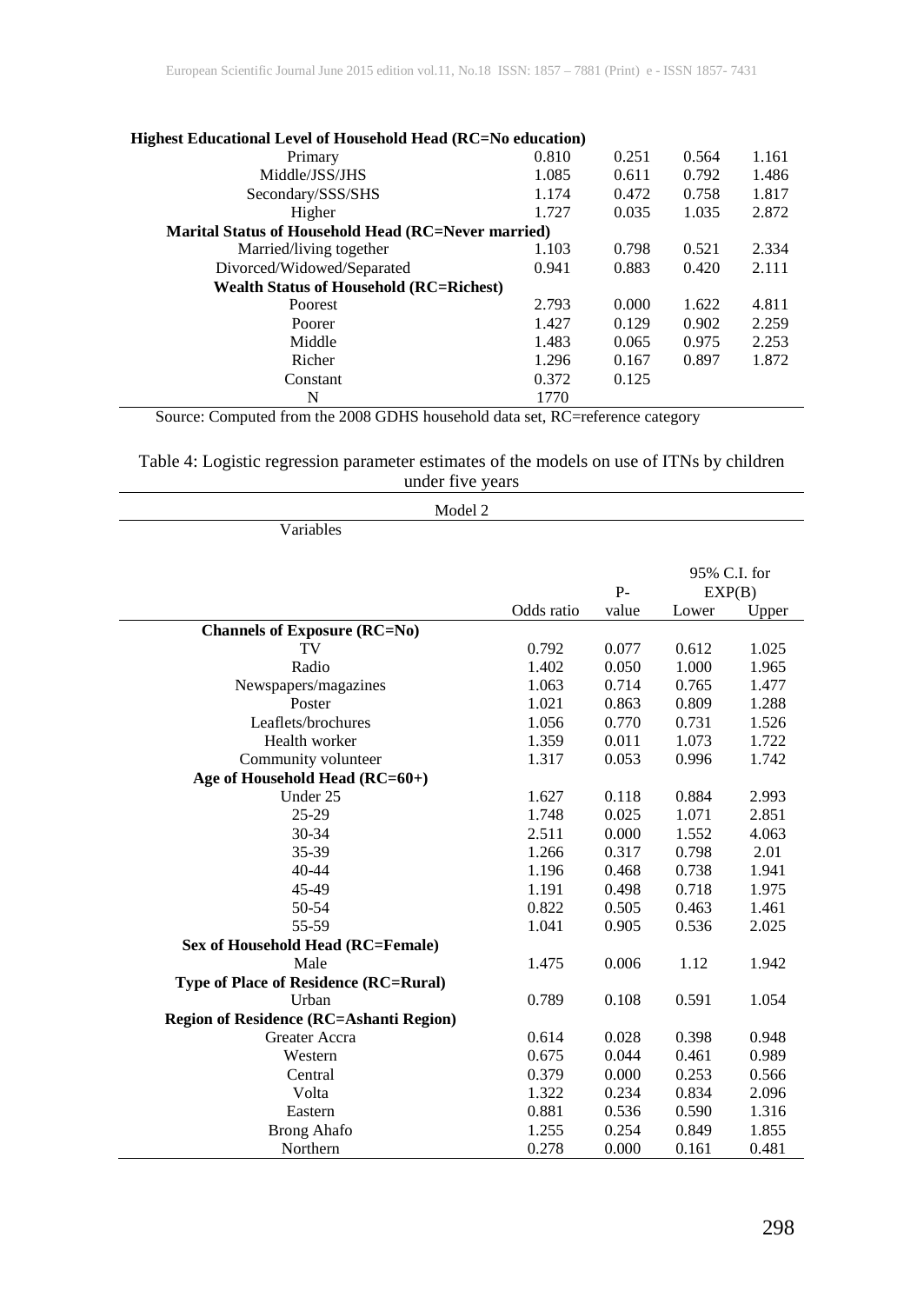| Highest Educational Level of Household Head (RC=No education) |       |       |       |       |
|---------------------------------------------------------------|-------|-------|-------|-------|
| Primary                                                       | 0.810 | 0.251 | 0.564 | 1.161 |
| Middle/JSS/JHS                                                | 1.085 | 0.611 | 0.792 | 1.486 |
| Secondary/SSS/SHS                                             | 1.174 | 0.472 | 0.758 | 1.817 |
| Higher                                                        | 1.727 | 0.035 | 1.035 | 2.872 |
| <b>Marital Status of Household Head (RC=Never married)</b>    |       |       |       |       |
| Married/living together                                       | 1.103 | 0.798 | 0.521 | 2.334 |
| Divorced/Widowed/Separated                                    | 0.941 | 0.883 | 0.420 | 2.111 |
| <b>Wealth Status of Household (RC=Richest)</b>                |       |       |       |       |
| Poorest                                                       | 2.793 | 0.000 | 1.622 | 4.811 |
| Poorer                                                        | 1.427 | 0.129 | 0.902 | 2.259 |
| Middle                                                        | 1.483 | 0.065 | 0.975 | 2.253 |
| Richer                                                        | 1.296 | 0.167 | 0.897 | 1.872 |
| Constant                                                      | 0.372 | 0.125 |       |       |
| N                                                             | 1770  |       |       |       |

#### **Highest Educational Level of Household Head (RC=No education)**

Source: Computed from the 2008 GDHS household data set, RC=reference category

#### Table 4: Logistic regression parameter estimates of the models on use of ITNs by children under five years

Model 2

Variables

|                                                |            |       | 95% C.I. for |       |
|------------------------------------------------|------------|-------|--------------|-------|
|                                                |            | $P -$ | EXP(B)       |       |
|                                                | Odds ratio | value | Lower        | Upper |
| <b>Channels of Exposure (RC=No)</b>            |            |       |              |       |
| TV                                             | 0.792      | 0.077 | 0.612        | 1.025 |
| Radio                                          | 1.402      | 0.050 | 1.000        | 1.965 |
| Newspapers/magazines                           | 1.063      | 0.714 | 0.765        | 1.477 |
| Poster                                         | 1.021      | 0.863 | 0.809        | 1.288 |
| Leaflets/brochures                             | 1.056      | 0.770 | 0.731        | 1.526 |
| Health worker                                  | 1.359      | 0.011 | 1.073        | 1.722 |
| Community volunteer                            | 1.317      | 0.053 | 0.996        | 1.742 |
| Age of Household Head $(RC=60+)$               |            |       |              |       |
| Under 25                                       | 1.627      | 0.118 | 0.884        | 2.993 |
| 25-29                                          | 1.748      | 0.025 | 1.071        | 2.851 |
| 30-34                                          | 2.511      | 0.000 | 1.552        | 4.063 |
| 35-39                                          | 1.266      | 0.317 | 0.798        | 2.01  |
| 40-44                                          | 1.196      | 0.468 | 0.738        | 1.941 |
| 45-49                                          | 1.191      | 0.498 | 0.718        | 1.975 |
| 50-54                                          | 0.822      | 0.505 | 0.463        | 1.461 |
| 55-59                                          | 1.041      | 0.905 | 0.536        | 2.025 |
| Sex of Household Head (RC=Female)              |            |       |              |       |
| Male                                           | 1.475      | 0.006 | 1.12         | 1.942 |
| Type of Place of Residence (RC=Rural)          |            |       |              |       |
| Urban                                          | 0.789      | 0.108 | 0.591        | 1.054 |
| <b>Region of Residence (RC=Ashanti Region)</b> |            |       |              |       |
| Greater Accra                                  | 0.614      | 0.028 | 0.398        | 0.948 |
| Western                                        | 0.675      | 0.044 | 0.461        | 0.989 |
| Central                                        | 0.379      | 0.000 | 0.253        | 0.566 |
| Volta                                          | 1.322      | 0.234 | 0.834        | 2.096 |
| Eastern                                        | 0.881      | 0.536 | 0.590        | 1.316 |
| <b>Brong Ahafo</b>                             | 1.255      | 0.254 | 0.849        | 1.855 |
| Northern                                       | 0.278      | 0.000 | 0.161        | 0.481 |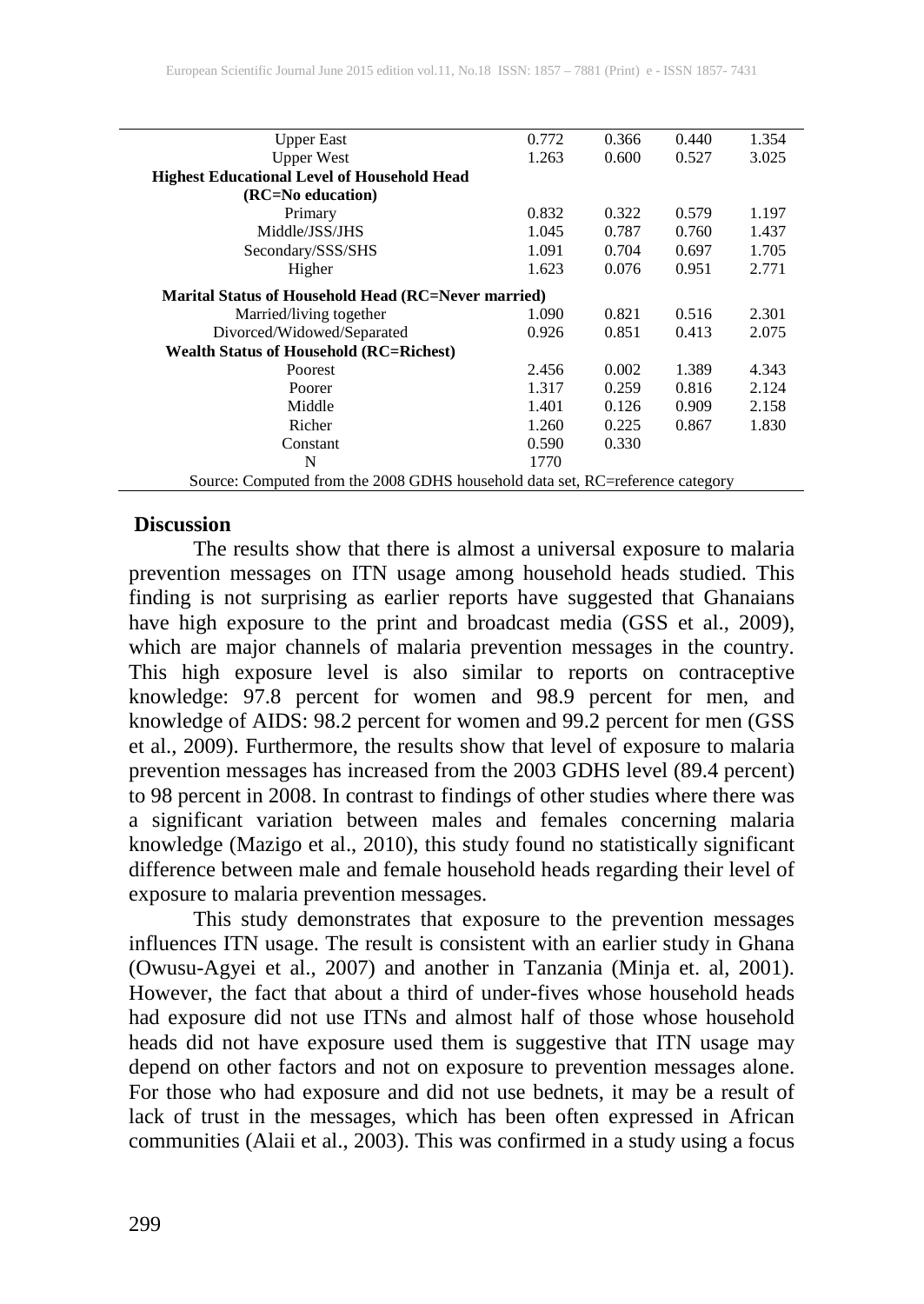| <b>Upper East</b>                                                             | 0.772 | 0.366 | 0.440 | 1.354 |
|-------------------------------------------------------------------------------|-------|-------|-------|-------|
| <b>Upper West</b>                                                             | 1.263 | 0.600 | 0.527 | 3.025 |
| <b>Highest Educational Level of Household Head</b>                            |       |       |       |       |
| (RC=No education)                                                             |       |       |       |       |
| Primary                                                                       | 0.832 | 0.322 | 0.579 | 1.197 |
| Middle/JSS/JHS                                                                | 1.045 | 0.787 | 0.760 | 1.437 |
| Secondary/SSS/SHS                                                             | 1.091 | 0.704 | 0.697 | 1.705 |
| Higher                                                                        | 1.623 | 0.076 | 0.951 | 2.771 |
| Marital Status of Household Head (RC=Never married)                           |       |       |       |       |
| Married/living together                                                       | 1.090 | 0.821 | 0.516 | 2.301 |
| Divorced/Widowed/Separated                                                    | 0.926 | 0.851 | 0.413 | 2.075 |
| <b>Wealth Status of Household (RC=Richest)</b>                                |       |       |       |       |
| Poorest                                                                       | 2.456 | 0.002 | 1.389 | 4.343 |
| Poorer                                                                        | 1.317 | 0.259 | 0.816 | 2.124 |
| Middle                                                                        | 1.401 | 0.126 | 0.909 | 2.158 |
| Richer                                                                        | 1.260 | 0.225 | 0.867 | 1.830 |
| Constant                                                                      | 0.590 | 0.330 |       |       |
| N                                                                             | 1770  |       |       |       |
| Source: Computed from the 2008 GDHS household data set, RC=reference category |       |       |       |       |

#### **Discussion**

The results show that there is almost a universal exposure to malaria prevention messages on ITN usage among household heads studied. This finding is not surprising as earlier reports have suggested that Ghanaians have high exposure to the print and broadcast media (GSS et al., 2009), which are major channels of malaria prevention messages in the country. This high exposure level is also similar to reports on contraceptive knowledge: 97.8 percent for women and 98.9 percent for men, and knowledge of AIDS: 98.2 percent for women and 99.2 percent for men (GSS et al., 2009). Furthermore, the results show that level of exposure to malaria prevention messages has increased from the 2003 GDHS level (89.4 percent) to 98 percent in 2008. In contrast to findings of other studies where there was a significant variation between males and females concerning malaria knowledge (Mazigo et al., 2010), this study found no statistically significant difference between male and female household heads regarding their level of exposure to malaria prevention messages.

This study demonstrates that exposure to the prevention messages influences ITN usage. The result is consistent with an earlier study in Ghana (Owusu-Agyei et al., 2007) and another in Tanzania (Minja et. al, 2001). However, the fact that about a third of under-fives whose household heads had exposure did not use ITNs and almost half of those whose household heads did not have exposure used them is suggestive that ITN usage may depend on other factors and not on exposure to prevention messages alone. For those who had exposure and did not use bednets, it may be a result of lack of trust in the messages, which has been often expressed in African communities (Alaii et al., 2003). This was confirmed in a study using a focus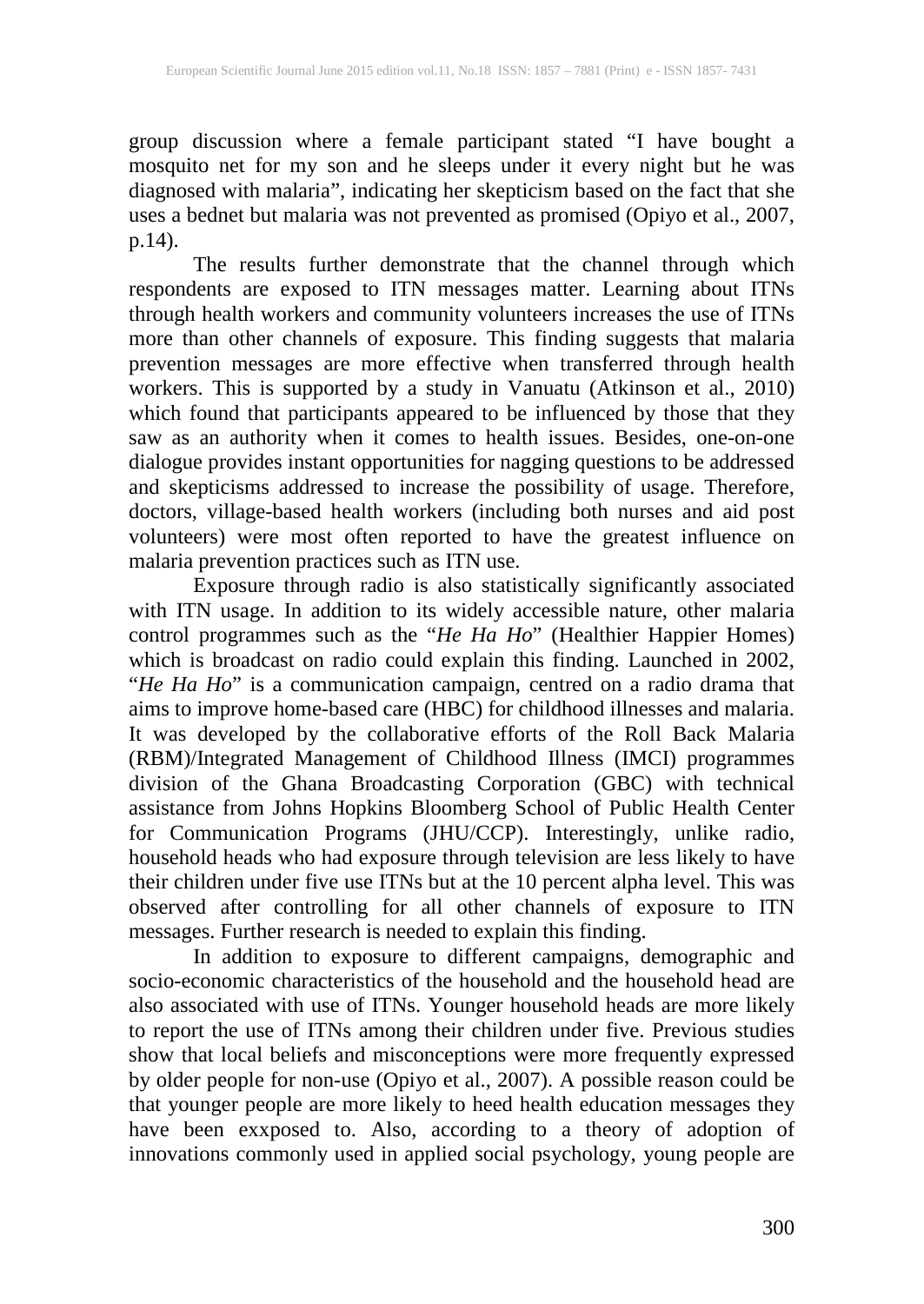group discussion where a female participant stated "I have bought a mosquito net for my son and he sleeps under it every night but he was diagnosed with malaria", indicating her skepticism based on the fact that she uses a bednet but malaria was not prevented as promised (Opiyo et al., 2007, p.14).

The results further demonstrate that the channel through which respondents are exposed to ITN messages matter. Learning about ITNs through health workers and community volunteers increases the use of ITNs more than other channels of exposure. This finding suggests that malaria prevention messages are more effective when transferred through health workers. This is supported by a study in Vanuatu (Atkinson et al., 2010) which found that participants appeared to be influenced by those that they saw as an authority when it comes to health issues. Besides, one-on-one dialogue provides instant opportunities for nagging questions to be addressed and skepticisms addressed to increase the possibility of usage. Therefore, doctors, village-based health workers (including both nurses and aid post volunteers) were most often reported to have the greatest influence on malaria prevention practices such as ITN use.

Exposure through radio is also statistically significantly associated with ITN usage. In addition to its widely accessible nature, other malaria control programmes such as the "*He Ha Ho*" (Healthier Happier Homes) which is broadcast on radio could explain this finding. Launched in 2002, "*He Ha Ho*" is a communication campaign, centred on a radio drama that aims to improve home-based care (HBC) for childhood illnesses and malaria. It was developed by the collaborative efforts of the Roll Back Malaria (RBM)/Integrated Management of Childhood Illness (IMCI) programmes division of the Ghana Broadcasting Corporation (GBC) with technical assistance from Johns Hopkins Bloomberg School of Public Health Center for Communication Programs (JHU/CCP). Interestingly, unlike radio, household heads who had exposure through television are less likely to have their children under five use ITNs but at the 10 percent alpha level. This was observed after controlling for all other channels of exposure to ITN messages. Further research is needed to explain this finding.

In addition to exposure to different campaigns, demographic and socio-economic characteristics of the household and the household head are also associated with use of ITNs. Younger household heads are more likely to report the use of ITNs among their children under five. Previous studies show that local beliefs and misconceptions were more frequently expressed by older people for non-use (Opiyo et al., 2007). A possible reason could be that younger people are more likely to heed health education messages they have been exxposed to. Also, according to a theory of adoption of innovations commonly used in applied social psychology, young people are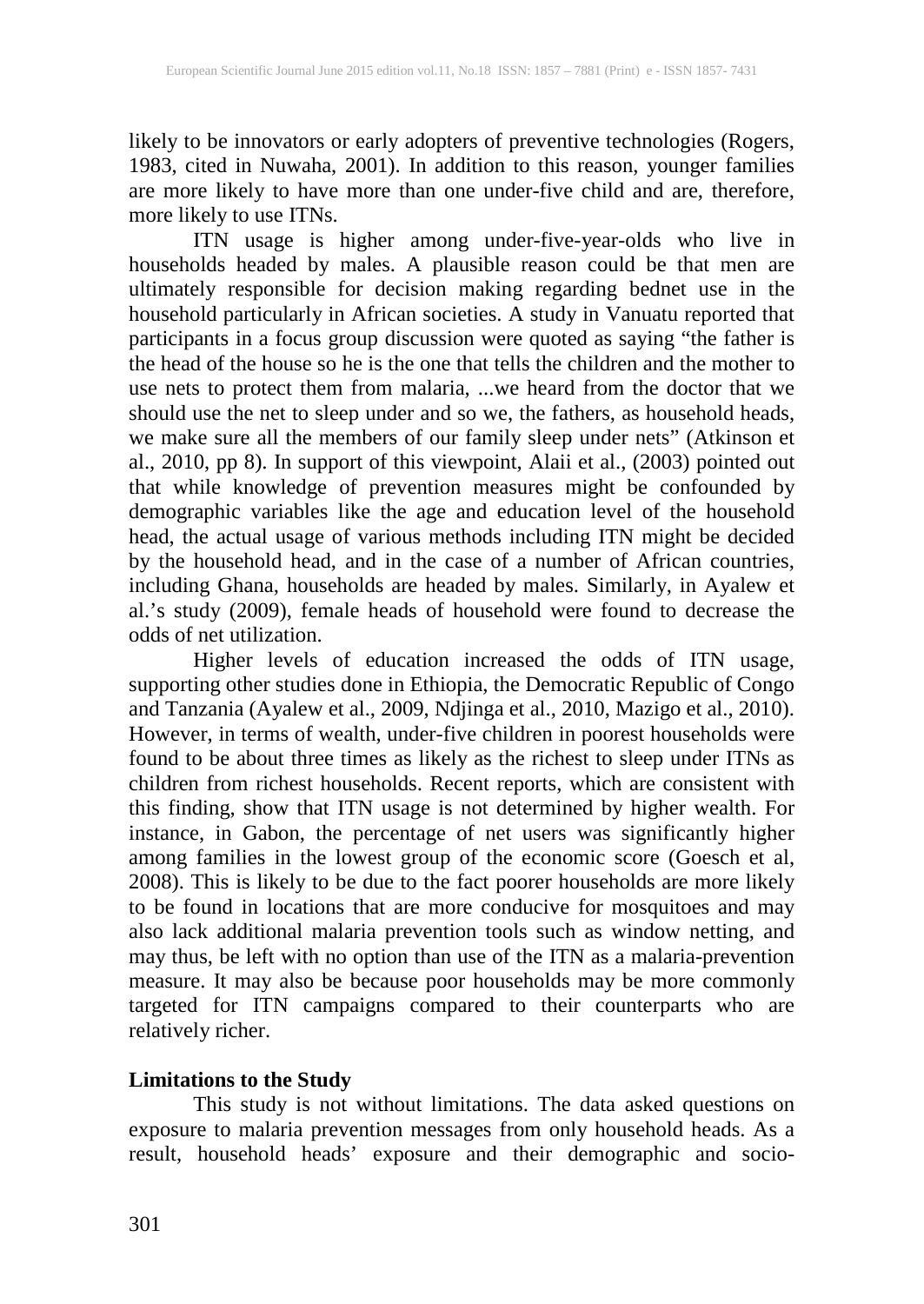likely to be innovators or early adopters of preventive technologies (Rogers, 1983, cited in Nuwaha, 2001). In addition to this reason, younger families are more likely to have more than one under-five child and are, therefore, more likely to use ITNs.

ITN usage is higher among under-five-year-olds who live in households headed by males. A plausible reason could be that men are ultimately responsible for decision making regarding bednet use in the household particularly in African societies. A study in Vanuatu reported that participants in a focus group discussion were quoted as saying "the father is the head of the house so he is the one that tells the children and the mother to use nets to protect them from malaria, ...we heard from the doctor that we should use the net to sleep under and so we, the fathers, as household heads, we make sure all the members of our family sleep under nets" (Atkinson et al., 2010, pp 8). In support of this viewpoint, Alaii et al., (2003) pointed out that while knowledge of prevention measures might be confounded by demographic variables like the age and education level of the household head, the actual usage of various methods including ITN might be decided by the household head, and in the case of a number of African countries, including Ghana, households are headed by males. Similarly, in Ayalew et al.'s study (2009), female heads of household were found to decrease the odds of net utilization.

Higher levels of education increased the odds of ITN usage, supporting other studies done in Ethiopia, the Democratic Republic of Congo and Tanzania (Ayalew et al., 2009, Ndjinga et al., 2010, Mazigo et al., 2010). However, in terms of wealth, under-five children in poorest households were found to be about three times as likely as the richest to sleep under ITNs as children from richest households. Recent reports, which are consistent with this finding, show that ITN usage is not determined by higher wealth. For instance, in Gabon, the percentage of net users was significantly higher among families in the lowest group of the economic score (Goesch et al, 2008). This is likely to be due to the fact poorer households are more likely to be found in locations that are more conducive for mosquitoes and may also lack additional malaria prevention tools such as window netting, and may thus, be left with no option than use of the ITN as a malaria-prevention measure. It may also be because poor households may be more commonly targeted for ITN campaigns compared to their counterparts who are relatively richer.

## **Limitations to the Study**

This study is not without limitations. The data asked questions on exposure to malaria prevention messages from only household heads. As a result, household heads' exposure and their demographic and socio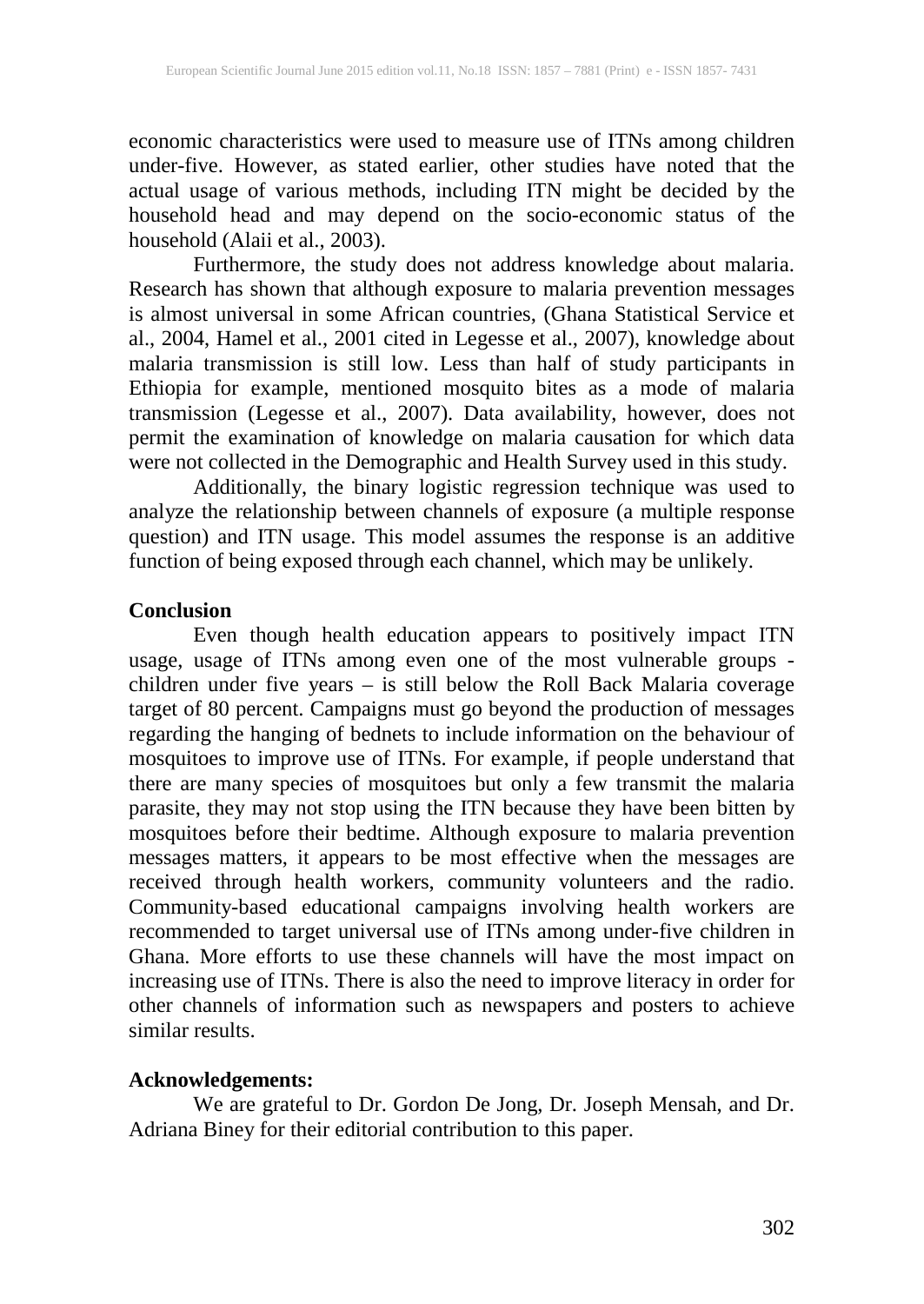economic characteristics were used to measure use of ITNs among children under-five. However, as stated earlier, other studies have noted that the actual usage of various methods, including ITN might be decided by the household head and may depend on the socio-economic status of the household (Alaii et al., 2003).

Furthermore, the study does not address knowledge about malaria. Research has shown that although exposure to malaria prevention messages is almost universal in some African countries, (Ghana Statistical Service et al., 2004, Hamel et al., 2001 cited in Legesse et al., 2007), knowledge about malaria transmission is still low. Less than half of study participants in Ethiopia for example, mentioned mosquito bites as a mode of malaria transmission (Legesse et al., 2007). Data availability, however, does not permit the examination of knowledge on malaria causation for which data were not collected in the Demographic and Health Survey used in this study.

Additionally, the binary logistic regression technique was used to analyze the relationship between channels of exposure (a multiple response question) and ITN usage. This model assumes the response is an additive function of being exposed through each channel, which may be unlikely.

## **Conclusion**

Even though health education appears to positively impact ITN usage, usage of ITNs among even one of the most vulnerable groups children under five years – is still below the Roll Back Malaria coverage target of 80 percent. Campaigns must go beyond the production of messages regarding the hanging of bednets to include information on the behaviour of mosquitoes to improve use of ITNs. For example, if people understand that there are many species of mosquitoes but only a few transmit the malaria parasite, they may not stop using the ITN because they have been bitten by mosquitoes before their bedtime. Although exposure to malaria prevention messages matters, it appears to be most effective when the messages are received through health workers, community volunteers and the radio. Community-based educational campaigns involving health workers are recommended to target universal use of ITNs among under-five children in Ghana. More efforts to use these channels will have the most impact on increasing use of ITNs. There is also the need to improve literacy in order for other channels of information such as newspapers and posters to achieve similar results.

# **Acknowledgements:**

We are grateful to Dr. Gordon De Jong, Dr. Joseph Mensah, and Dr. Adriana Biney for their editorial contribution to this paper.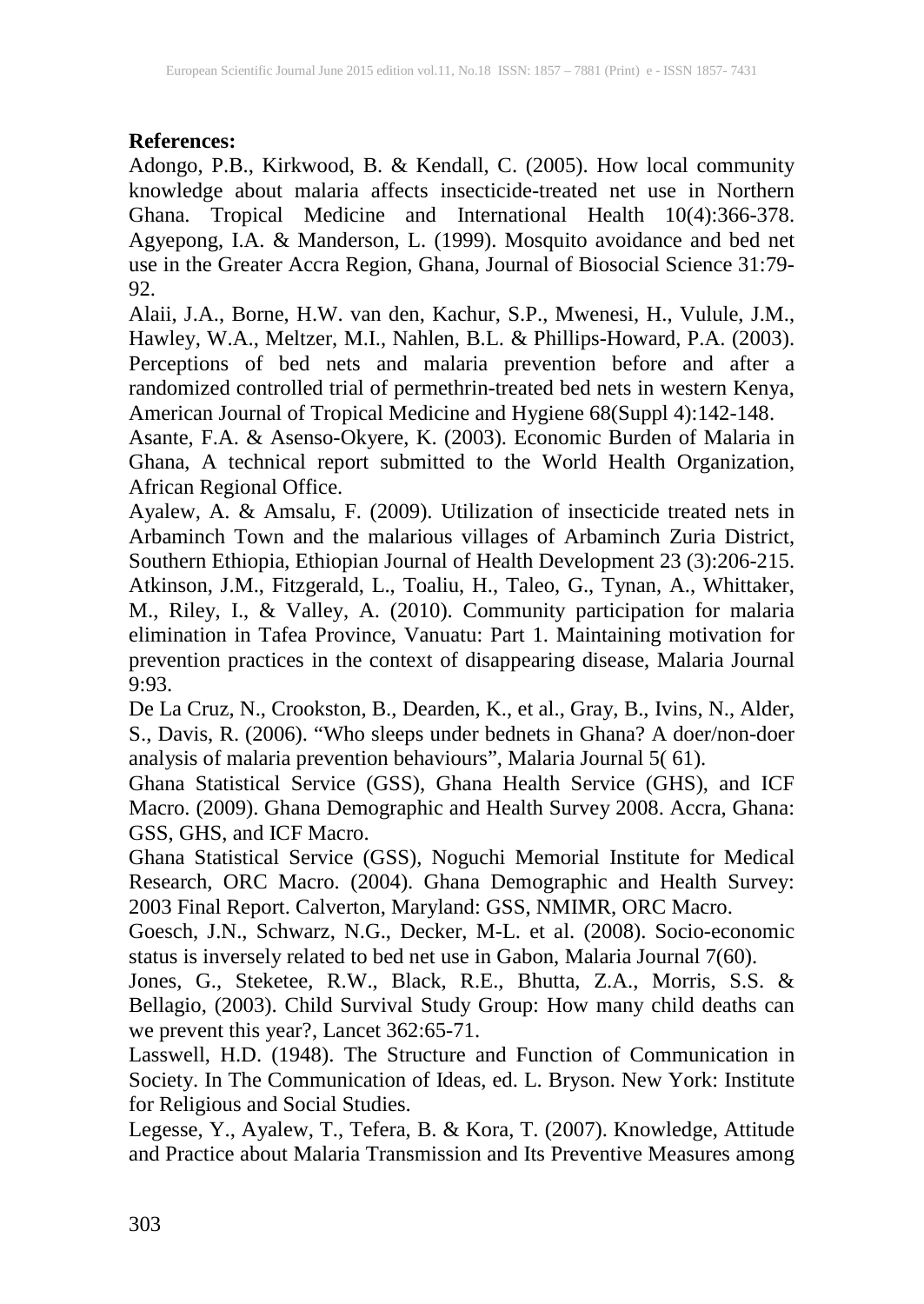# **References:**

Adongo, P.B., Kirkwood, B. & Kendall, C. (2005). How local community knowledge about malaria affects insecticide-treated net use in Northern Ghana. Tropical Medicine and International Health 10(4):366-378. Agyepong, I.A. & Manderson, L. (1999). Mosquito avoidance and bed net use in the Greater Accra Region, Ghana, Journal of Biosocial Science 31:79-92.

Alaii, J.A., Borne, H.W. van den, Kachur, S.P., Mwenesi, H., Vulule, J.M., Hawley, W.A., Meltzer, M.I., Nahlen, B.L. & Phillips-Howard, P.A. (2003). Perceptions of bed nets and malaria prevention before and after a randomized controlled trial of permethrin-treated bed nets in western Kenya, American Journal of Tropical Medicine and Hygiene 68(Suppl 4):142-148.

Asante, F.A. & Asenso-Okyere, K. (2003). Economic Burden of Malaria in Ghana, A technical report submitted to the World Health Organization, African Regional Office.

Ayalew, A. & Amsalu, F. (2009). Utilization of insecticide treated nets in Arbaminch Town and the malarious villages of Arbaminch Zuria District, Southern Ethiopia, Ethiopian Journal of Health Development 23 (3):206-215. Atkinson, J.M., Fitzgerald, L., Toaliu, H., Taleo, G., Tynan, A., Whittaker, M., Riley, I., & Valley, A. (2010). Community participation for malaria elimination in Tafea Province, Vanuatu: Part 1. Maintaining motivation for prevention practices in the context of disappearing disease, Malaria Journal 9:93.

De La Cruz, N., Crookston, B., Dearden, K., et al., Gray, B., Ivins, N., Alder, S., Davis, R. (2006). "Who sleeps under bednets in Ghana? A doer/non-doer analysis of malaria prevention behaviours", Malaria Journal 5( 61).

Ghana Statistical Service (GSS), Ghana Health Service (GHS), and ICF Macro. (2009). Ghana Demographic and Health Survey 2008. Accra, Ghana: GSS, GHS, and ICF Macro.

Ghana Statistical Service (GSS), Noguchi Memorial Institute for Medical Research, ORC Macro. (2004). Ghana Demographic and Health Survey: 2003 Final Report. Calverton, Maryland: GSS, NMIMR, ORC Macro.

Goesch, J.N., Schwarz, N.G., Decker, M-L. et al. (2008). Socio-economic status is inversely related to bed net use in Gabon, Malaria Journal 7(60).

Jones, G., Steketee, R.W., Black, R.E., Bhutta, Z.A., Morris, S.S. & Bellagio, (2003). Child Survival Study Group: How many child deaths can we prevent this year?, Lancet 362:65-71.

Lasswell, H.D. (1948). The Structure and Function of Communication in Society. In The Communication of Ideas, ed. L. Bryson. New York: Institute for Religious and Social Studies.

Legesse, Y., Ayalew, T., Tefera, B. & Kora, T. (2007). Knowledge, Attitude and Practice about Malaria Transmission and Its Preventive Measures among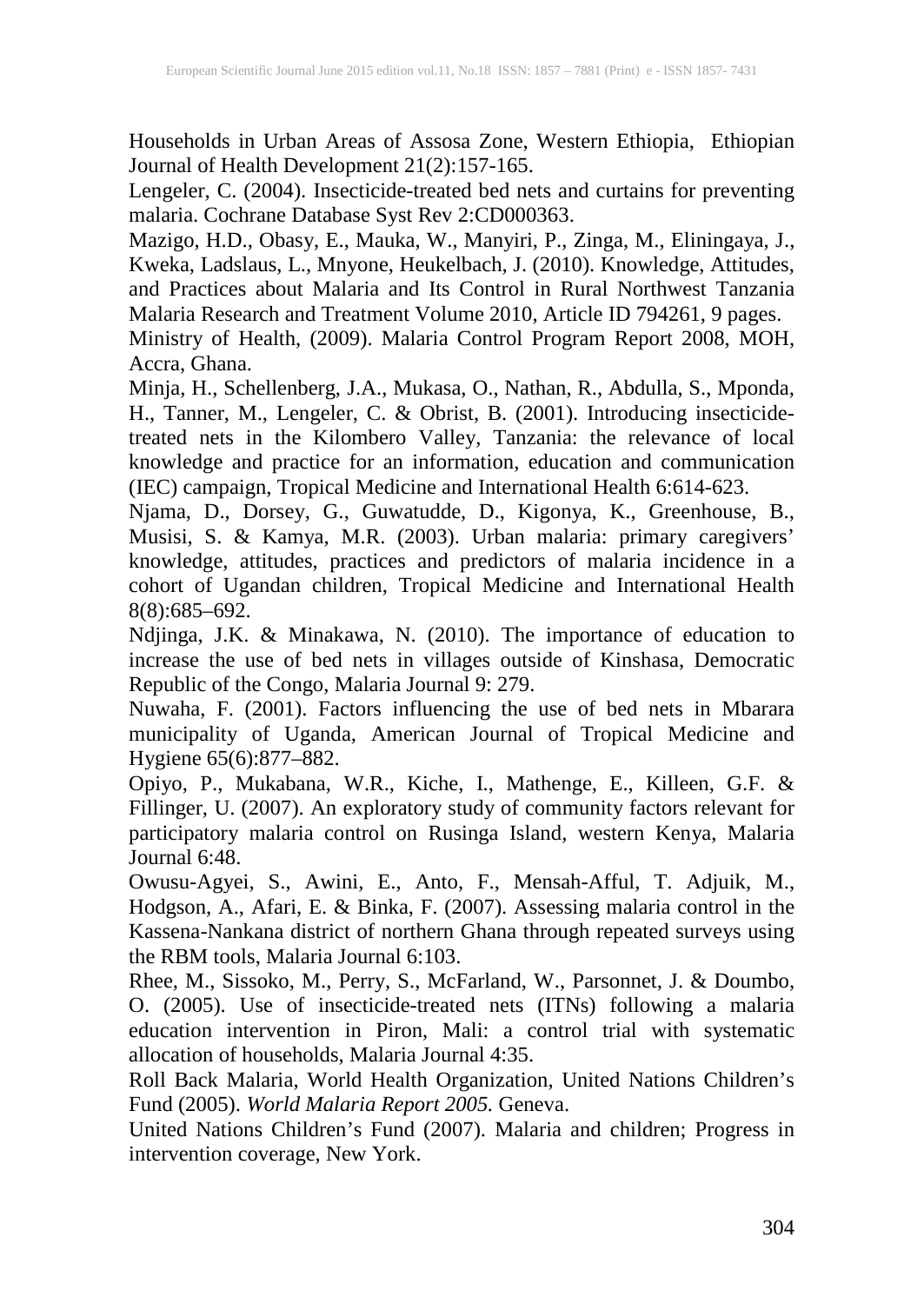Households in Urban Areas of Assosa Zone, Western Ethiopia, Ethiopian Journal of Health Development 21(2):157-165.

Lengeler, C. (2004). Insecticide-treated bed nets and curtains for preventing malaria. Cochrane Database Syst Rev 2:CD000363.

Mazigo, H.D., Obasy, E., Mauka, W., Manyiri, P., Zinga, M., Eliningaya, J., Kweka, Ladslaus, L., Mnyone, Heukelbach, J. (2010). Knowledge, Attitudes, and Practices about Malaria and Its Control in Rural Northwest Tanzania Malaria Research and Treatment Volume 2010, Article ID 794261, 9 pages.

Ministry of Health, (2009). Malaria Control Program Report 2008, MOH, Accra, Ghana.

Minja, H., Schellenberg, J.A., Mukasa, O., Nathan, R., Abdulla, S., Mponda, H., Tanner, M., Lengeler, C. & Obrist, B. (2001). Introducing insecticidetreated nets in the Kilombero Valley, Tanzania: the relevance of local knowledge and practice for an information, education and communication (IEC) campaign, Tropical Medicine and International Health 6:614-623.

Njama, D., Dorsey, G., Guwatudde, D., Kigonya, K., Greenhouse, B., Musisi, S. & Kamya, M.R. (2003). Urban malaria: primary caregivers' knowledge, attitudes, practices and predictors of malaria incidence in a cohort of Ugandan children, Tropical Medicine and International Health 8(8):685–692.

Ndjinga, J.K. & Minakawa, N. (2010). The importance of education to increase the use of bed nets in villages outside of Kinshasa, Democratic Republic of the Congo, Malaria Journal 9: 279.

Nuwaha, F. (2001). Factors influencing the use of bed nets in Mbarara municipality of Uganda, American Journal of Tropical Medicine and Hygiene 65(6):877–882.

Opiyo, P., Mukabana, W.R., Kiche, I., Mathenge, E., Killeen, G.F. & Fillinger, U. (2007). An exploratory study of community factors relevant for participatory malaria control on Rusinga Island, western Kenya, Malaria Journal 6:48.

Owusu-Agyei, S., Awini, E., Anto, F., Mensah-Afful, T. Adjuik, M., Hodgson, A., Afari, E. & Binka, F. (2007). Assessing malaria control in the Kassena-Nankana district of northern Ghana through repeated surveys using the RBM tools, Malaria Journal 6:103.

Rhee, M., Sissoko, M., Perry, S., McFarland, W., Parsonnet, J. & Doumbo, O. (2005). Use of insecticide-treated nets (ITNs) following a malaria education intervention in Piron, Mali: a control trial with systematic allocation of households, Malaria Journal 4:35.

Roll Back Malaria, World Health Organization, United Nations Children's Fund (2005). *World Malaria Report 2005.* Geneva.

United Nations Children's Fund (2007). Malaria and children; Progress in intervention coverage, New York.